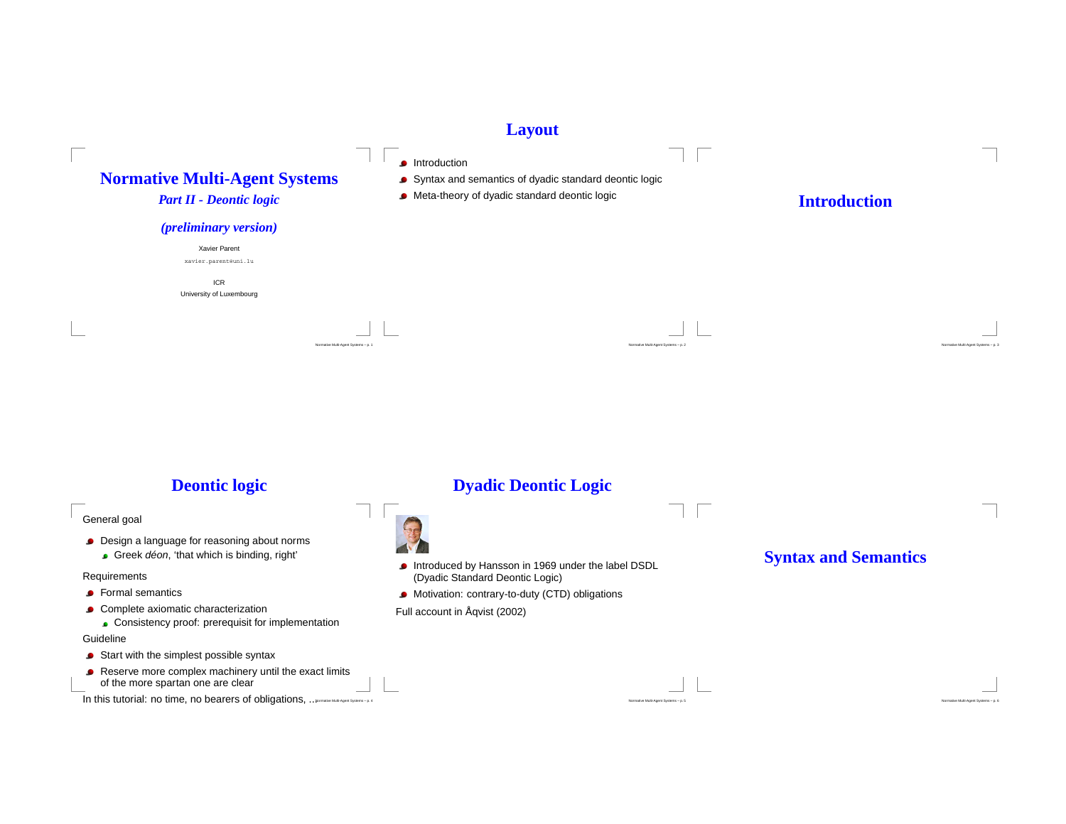### **Layout**



**Deontic logic**

General goal

- **Design a language for reasoning about norms** 
	- Greek déon, 'that which is binding, right'

#### Requirements

- Formal semantics
- **Complete axiomatic characterization**

Consistency proof: prerequisit for implementation

### Guideline

- Start with the simplest possible syntax
- Reserve more complex machinery until the exact limits of the more spartan one are clear

In this tutorial: no time, no bearers of obligations, ... Normalive Multi-Agent Systems – p. 4

## **Dyadic Deontic Logic**



Introduced by Hansson in <sup>1969</sup> under the label DSDL (Dyadic Standard Deontic Logic)

Normative Multi-Agent Systems – p. <sup>5</sup>

- Motivation: contrary-to-duty (CTD) obligations
- Full account in Åqvist (2002)

# **Syntax and Semantics**

Normative Multi-Agent Systems – p. <sup>6</sup>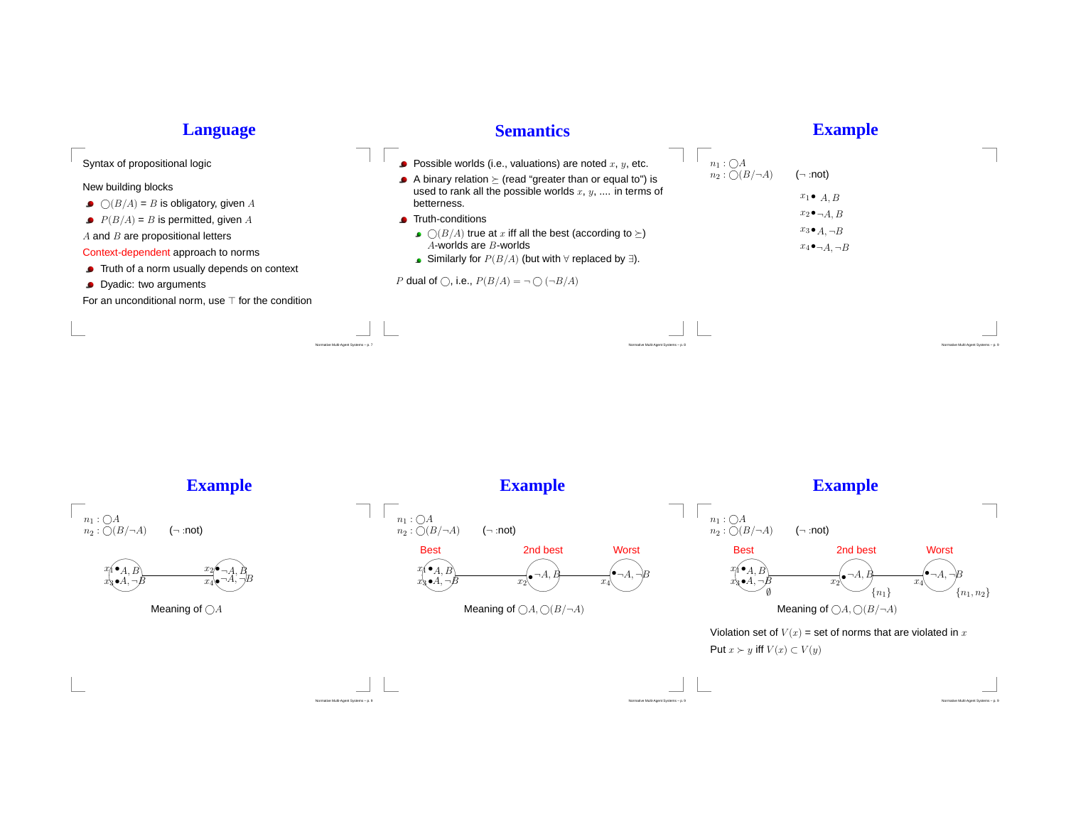| <b>Language</b>                                                                                                                                                                                                                                                                                                                                                     | <b>Semantics</b>                                                                                                                                                                                                                                                                                                                                                                                                                                                                                      |                                                  | <b>Example</b>                                                                                                            |
|---------------------------------------------------------------------------------------------------------------------------------------------------------------------------------------------------------------------------------------------------------------------------------------------------------------------------------------------------------------------|-------------------------------------------------------------------------------------------------------------------------------------------------------------------------------------------------------------------------------------------------------------------------------------------------------------------------------------------------------------------------------------------------------------------------------------------------------------------------------------------------------|--------------------------------------------------|---------------------------------------------------------------------------------------------------------------------------|
| Syntax of propositional logic<br>New building blocks<br>$\bigcirc$ ( $B/A$ ) = B is obligatory, given A<br>$P(B/A) = B$ is permitted, given A<br>$A$ and $B$ are propositional letters<br>Context-dependent approach to norms<br>• Truth of a norm usually depends on context<br>• Dyadic: two arguments<br>For an unconditional norm, use $\top$ for the condition | • Possible worlds (i.e., valuations) are noted $x, y$ , etc.<br>A binary relation $\succeq$ (read "greater than or equal to") is<br>used to rank all the possible worlds $x, y, \ldots$ in terms of<br>betterness.<br>■ Truth-conditions<br>$\bullet$ $\bigcirc$ (B/A) true at x iff all the best (according to $\succeq$ )<br>$A$ -worlds are $B$ -worlds<br>■ Similarly for $P(B/A)$ (but with $\forall$ replaced by $\exists$ ).<br>P dual of $\bigcap$ , i.e., $P(B/A) = \neg \bigcap (\neg B/A)$ | $n_1: \bigcirc A$<br>$n_2 : \bigcirc (B/\neg A)$ | $(\neg$ :not)<br>$x_1 \bullet A, B$<br>$x_2 \bullet \neg A, B$<br>$x_3 \bullet A, \neg B$<br>$x_4 \bullet \neg A, \neg B$ |
|                                                                                                                                                                                                                                                                                                                                                                     |                                                                                                                                                                                                                                                                                                                                                                                                                                                                                                       |                                                  |                                                                                                                           |
|                                                                                                                                                                                                                                                                                                                                                                     | Normative Multi-Agent Systems - p.                                                                                                                                                                                                                                                                                                                                                                                                                                                                    | Vormative Multi-Agent Systems - p. 8             |                                                                                                                           |

**Example**

ti-Agent Systems – p. 9



Normative Multi-Agent Systems – p. <sup>9</sup>

**Example**

ent Systems – p. 9

**Example**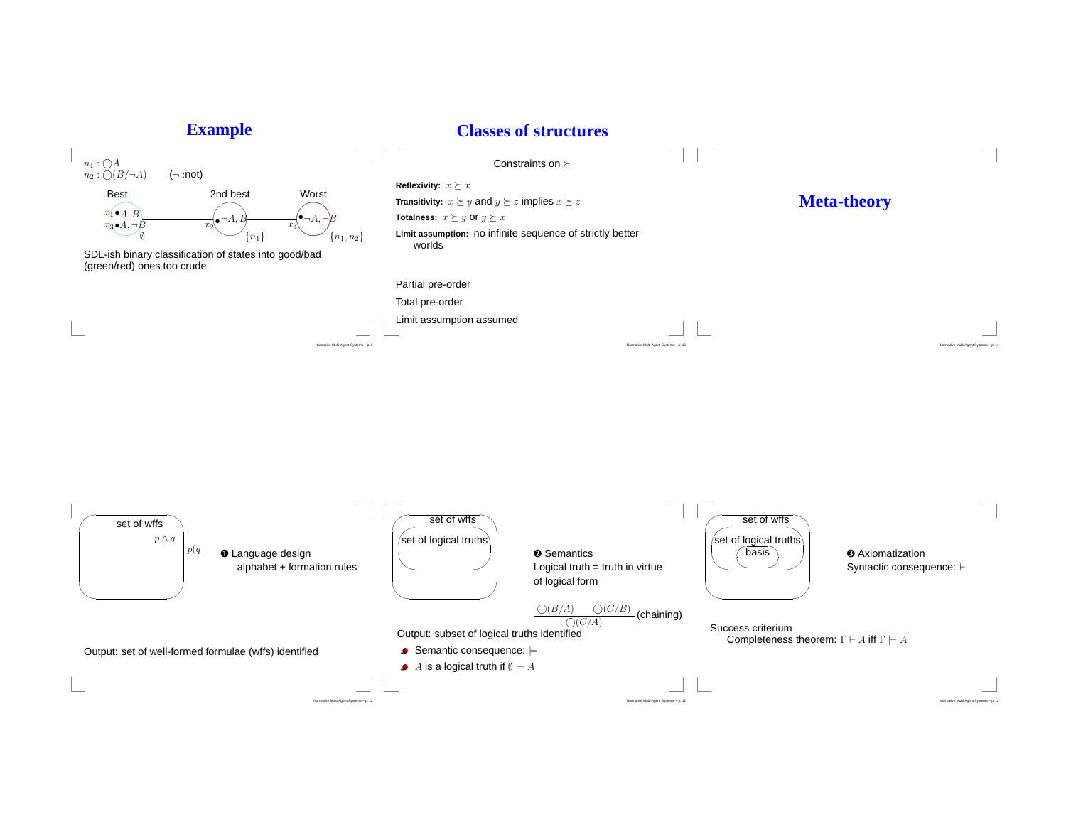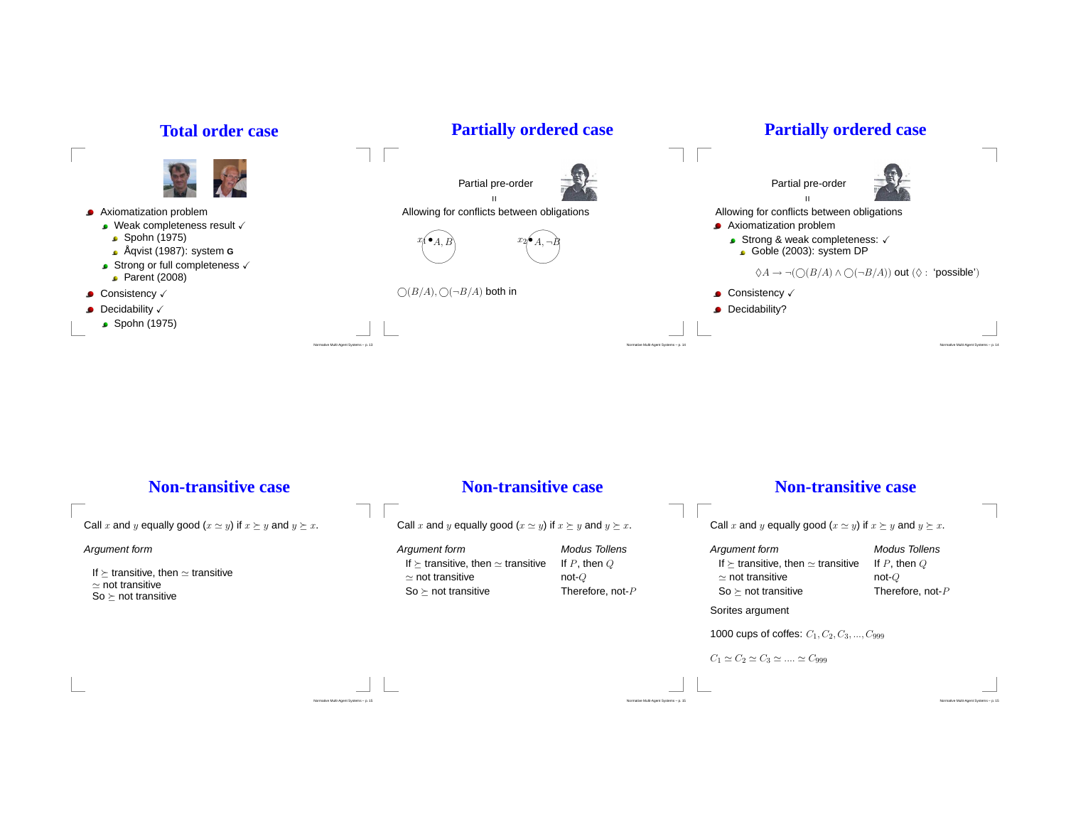

## **Non-transitive case**

Normative Multi-Agent Systems – p. <sup>15</sup>

Call  $x$  and  $y$  equally good  $(x \simeq y)$  if  $x \succeq y$  and  $y \succeq x$ .

#### Argument form

If  $\succeq$  transitive, then ≃ transitive<br>supot transitive ≃ not transitive So  $\succeq$  not transitive

### **Non-transitive case**

Call  $x$  and  $y$  equally good  $(x \simeq y)$  if  $x \succeq y$  and  $y \succeq x$ .

Argument form Modus Tollens If  $\succeq$  transitive, then  $\simeq$  transitive If P, then Q  $\simeq$  not transitive not-Q So $\succeq$ 

Therefore, not- $P$ 

Normative Multi-Agent Systems – p. <sup>15</sup>

# **Non-transitive case**

Call  $x$  and  $y$  equally good  $(x \simeq y)$  if  $x \succeq y$  and  $y \succeq x$ .

Argument form Modus Tollens If  $\succeq$  transitive, then  $\simeq$  transitive If P, then Q  $\simeq$  not transitive not-Q So  $\succeq$  not transitive Therefore, not- $P$ 

Normative Multi-Agent Systems – p. <sup>15</sup>

Sorites argument

1000 cups of coffes:  $C_1, C_2, C_3, ..., C_{999}$ 

```
C_1 \simeq C_2 \simeq C_3 \simeq .... \simeq C_{999}
```